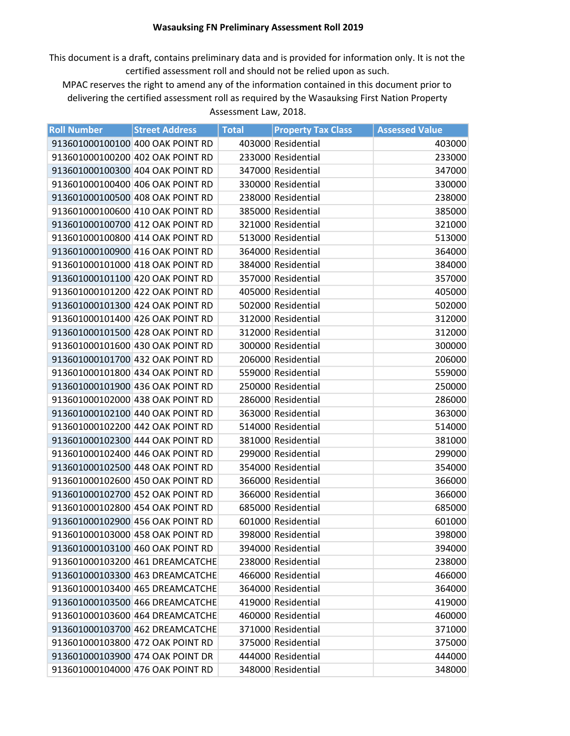## **Wasauksing FN Preliminary Assessment Roll 2019**

This document is a draft, contains preliminary data and is provided for information only. It is not the certified assessment roll and should not be relied upon as such.

MPAC reserves the right to amend any of the information contained in this document prior to delivering the certified assessment roll as required by the Wasauksing First Nation Property Assessment Law, 2018.

| <b>Roll Number</b> | <b>Street Address</b>            | <b>Total</b> | <b>Property Tax Class</b> | <b>Assessed Value</b> |
|--------------------|----------------------------------|--------------|---------------------------|-----------------------|
|                    | 913601000100100 400 OAK POINT RD |              | 403000 Residential        | 403000                |
|                    | 913601000100200 402 OAK POINT RD |              | 233000 Residential        | 233000                |
|                    | 913601000100300 404 OAK POINT RD |              | 347000 Residential        | 347000                |
|                    | 913601000100400 406 OAK POINT RD |              | 330000 Residential        | 330000                |
|                    | 913601000100500 408 OAK POINT RD |              | 238000 Residential        | 238000                |
|                    | 913601000100600 410 OAK POINT RD |              | 385000 Residential        | 385000                |
|                    | 913601000100700 412 OAK POINT RD |              | 321000 Residential        | 321000                |
|                    | 913601000100800 414 OAK POINT RD |              | 513000 Residential        | 513000                |
|                    | 913601000100900 416 OAK POINT RD |              | 364000 Residential        | 364000                |
|                    | 913601000101000 418 OAK POINT RD |              | 384000 Residential        | 384000                |
|                    | 913601000101100 420 OAK POINT RD |              | 357000 Residential        | 357000                |
|                    | 913601000101200 422 OAK POINT RD |              | 405000 Residential        | 405000                |
|                    | 913601000101300 424 OAK POINT RD |              | 502000 Residential        | 502000                |
|                    | 913601000101400 426 OAK POINT RD |              | 312000 Residential        | 312000                |
|                    | 913601000101500 428 OAK POINT RD |              | 312000 Residential        | 312000                |
|                    | 913601000101600 430 OAK POINT RD |              | 300000 Residential        | 300000                |
|                    | 913601000101700 432 OAK POINT RD |              | 206000 Residential        | 206000                |
|                    | 913601000101800 434 OAK POINT RD |              | 559000 Residential        | 559000                |
|                    | 913601000101900 436 OAK POINT RD |              | 250000 Residential        | 250000                |
|                    | 913601000102000 438 OAK POINT RD |              | 286000 Residential        | 286000                |
|                    | 913601000102100 440 OAK POINT RD |              | 363000 Residential        | 363000                |
|                    | 913601000102200 442 OAK POINT RD |              | 514000 Residential        | 514000                |
|                    | 913601000102300 444 OAK POINT RD |              | 381000 Residential        | 381000                |
|                    | 913601000102400 446 OAK POINT RD |              | 299000 Residential        | 299000                |
|                    | 913601000102500 448 OAK POINT RD |              | 354000 Residential        | 354000                |
|                    | 913601000102600 450 OAK POINT RD |              | 366000 Residential        | 366000                |
|                    | 913601000102700 452 OAK POINT RD |              | 366000 Residential        | 366000                |
|                    | 913601000102800 454 OAK POINT RD |              | 685000 Residential        | 685000                |
|                    | 913601000102900 456 OAK POINT RD |              | 601000 Residential        | 601000                |
|                    | 913601000103000 458 OAK POINT RD |              | 398000 Residential        | 398000                |
|                    | 913601000103100 460 OAK POINT RD |              | 394000 Residential        | 394000                |
|                    | 913601000103200 461 DREAMCATCHE  |              | 238000 Residential        | 238000                |
|                    | 913601000103300 463 DREAMCATCHE  |              | 466000 Residential        | 466000                |
|                    | 913601000103400 465 DREAMCATCHE  |              | 364000 Residential        | 364000                |
|                    | 913601000103500 466 DREAMCATCHE  |              | 419000 Residential        | 419000                |
|                    | 913601000103600 464 DREAMCATCHE  |              | 460000 Residential        | 460000                |
|                    | 913601000103700 462 DREAMCATCHE  |              | 371000 Residential        | 371000                |
|                    | 913601000103800 472 OAK POINT RD |              | 375000 Residential        | 375000                |
|                    | 913601000103900 474 OAK POINT DR |              | 444000 Residential        | 444000                |
|                    | 913601000104000 476 OAK POINT RD |              | 348000 Residential        | 348000                |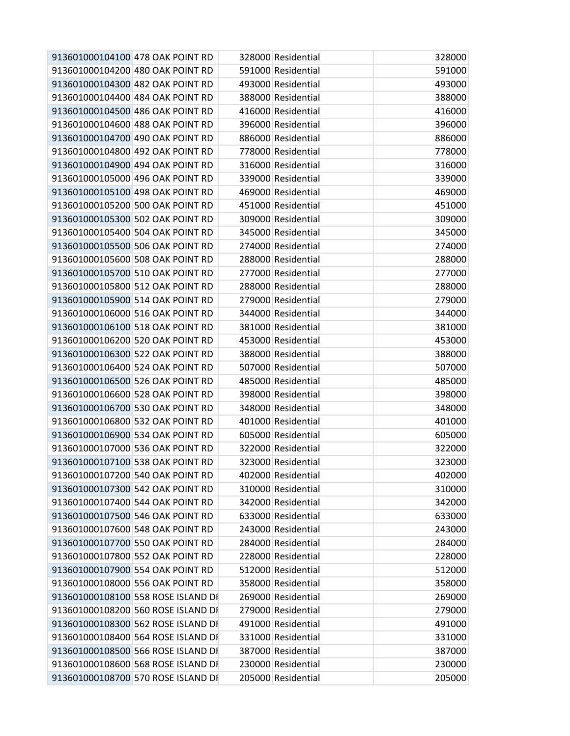| 913601000104100 478 OAK POINT RD   | 328000 Residential | 328000 |
|------------------------------------|--------------------|--------|
| 913601000104200 480 OAK POINT RD   | 591000 Residential | 591000 |
| 913601000104300 482 OAK POINT RD   | 493000 Residential | 493000 |
| 913601000104400 484 OAK POINT RD   | 388000 Residential | 388000 |
| 913601000104500 486 OAK POINT RD   | 416000 Residential | 416000 |
| 913601000104600 488 OAK POINT RD   | 396000 Residential | 396000 |
| 913601000104700 490 OAK POINT RD   | 886000 Residential | 886000 |
| 913601000104800 492 OAK POINT RD   | 778000 Residential | 778000 |
| 913601000104900 494 OAK POINT RD   | 316000 Residential | 316000 |
| 913601000105000 496 OAK POINT RD   | 339000 Residential | 339000 |
| 913601000105100 498 OAK POINT RD   | 469000 Residential | 469000 |
| 913601000105200 500 OAK POINT RD   | 451000 Residential | 451000 |
| 913601000105300 502 OAK POINT RD   | 309000 Residential | 309000 |
| 913601000105400 504 OAK POINT RD   | 345000 Residential | 345000 |
| 913601000105500 506 OAK POINT RD   | 274000 Residential | 274000 |
| 913601000105600 508 OAK POINT RD   | 288000 Residential | 288000 |
| 913601000105700 510 OAK POINT RD   | 277000 Residential | 277000 |
| 913601000105800 512 OAK POINT RD   | 288000 Residential | 288000 |
| 913601000105900 514 OAK POINT RD   | 279000 Residential | 279000 |
| 913601000106000 516 OAK POINT RD   | 344000 Residential | 344000 |
| 913601000106100 518 OAK POINT RD   | 381000 Residential | 381000 |
| 913601000106200 520 OAK POINT RD   | 453000 Residential | 453000 |
| 913601000106300 522 OAK POINT RD   | 388000 Residential | 388000 |
| 913601000106400 524 OAK POINT RD   | 507000 Residential | 507000 |
| 913601000106500 526 OAK POINT RD   | 485000 Residential | 485000 |
| 913601000106600 528 OAK POINT RD   | 398000 Residential | 398000 |
| 913601000106700 530 OAK POINT RD   | 348000 Residential | 348000 |
| 913601000106800 532 OAK POINT RD   | 401000 Residential | 401000 |
| 913601000106900 534 OAK POINT RD   | 605000 Residential | 605000 |
| 913601000107000 536 OAK POINT RD   | 322000 Residential | 322000 |
| 913601000107100 538 OAK POINT RD   | 323000 Residential | 323000 |
| 913601000107200 540 OAK POINT RD   | 402000 Residential | 402000 |
| 913601000107300 542 OAK POINT RD   | 310000 Residential | 310000 |
| 913601000107400 544 OAK POINT RD   | 342000 Residential | 342000 |
| 913601000107500 546 OAK POINT RD   | 633000 Residential | 633000 |
| 913601000107600 548 OAK POINT RD   | 243000 Residential | 243000 |
| 913601000107700 550 OAK POINT RD   | 284000 Residential | 284000 |
| 913601000107800 552 OAK POINT RD   | 228000 Residential | 228000 |
| 913601000107900 554 OAK POINT RD   | 512000 Residential | 512000 |
| 913601000108000 556 OAK POINT RD   | 358000 Residential | 358000 |
| 913601000108100 558 ROSE ISLAND DI | 269000 Residential | 269000 |
| 913601000108200 560 ROSE ISLAND DI | 279000 Residential | 279000 |
| 913601000108300 562 ROSE ISLAND DI | 491000 Residential | 491000 |
| 913601000108400 564 ROSE ISLAND DI | 331000 Residential | 331000 |
| 913601000108500 566 ROSE ISLAND DI | 387000 Residential | 387000 |
| 913601000108600 568 ROSE ISLAND DI | 230000 Residential | 230000 |
| 913601000108700 570 ROSE ISLAND DI | 205000 Residential | 205000 |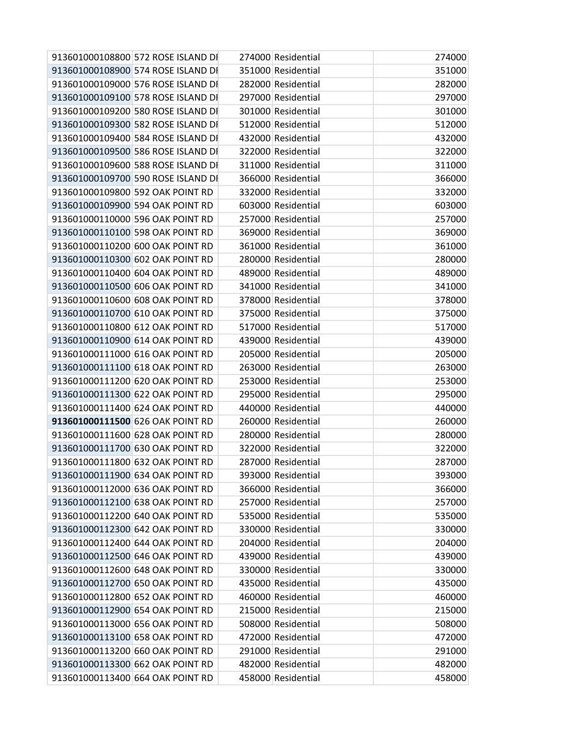| 913601000108800 572 ROSE ISLAND DI | 274000 Residential | 274000 |
|------------------------------------|--------------------|--------|
| 913601000108900 574 ROSE ISLAND DI | 351000 Residential | 351000 |
| 913601000109000 576 ROSE ISLAND DI | 282000 Residential | 282000 |
| 913601000109100 578 ROSE ISLAND DI | 297000 Residential | 297000 |
| 913601000109200 580 ROSE ISLAND DI | 301000 Residential | 301000 |
| 913601000109300 582 ROSE ISLAND DI | 512000 Residential | 512000 |
| 913601000109400 584 ROSE ISLAND DI | 432000 Residential | 432000 |
| 913601000109500 586 ROSE ISLAND DI | 322000 Residential | 322000 |
| 913601000109600 588 ROSE ISLAND DI | 311000 Residential | 311000 |
| 913601000109700 590 ROSE ISLAND DI | 366000 Residential | 366000 |
| 913601000109800 592 OAK POINT RD   | 332000 Residential | 332000 |
| 913601000109900 594 OAK POINT RD   | 603000 Residential | 603000 |
| 913601000110000 596 OAK POINT RD   | 257000 Residential | 257000 |
| 913601000110100 598 OAK POINT RD   | 369000 Residential | 369000 |
| 913601000110200 600 OAK POINT RD   | 361000 Residential | 361000 |
| 913601000110300 602 OAK POINT RD   | 280000 Residential | 280000 |
| 913601000110400 604 OAK POINT RD   | 489000 Residential | 489000 |
| 913601000110500 606 OAK POINT RD   | 341000 Residential | 341000 |
| 913601000110600 608 OAK POINT RD   | 378000 Residential | 378000 |
| 913601000110700 610 OAK POINT RD   | 375000 Residential | 375000 |
| 913601000110800 612 OAK POINT RD   | 517000 Residential | 517000 |
| 913601000110900 614 OAK POINT RD   | 439000 Residential | 439000 |
| 913601000111000 616 OAK POINT RD   | 205000 Residential | 205000 |
| 913601000111100 618 OAK POINT RD   | 263000 Residential | 263000 |
| 913601000111200 620 OAK POINT RD   | 253000 Residential | 253000 |
| 913601000111300 622 OAK POINT RD   | 295000 Residential | 295000 |
| 913601000111400 624 OAK POINT RD   | 440000 Residential | 440000 |
| 913601000111500 626 OAK POINT RD   | 260000 Residential | 260000 |
| 913601000111600 628 OAK POINT RD   | 280000 Residential | 280000 |
| 913601000111700 630 OAK POINT RD   | 322000 Residential | 322000 |
| 913601000111800 632 OAK POINT RD   | 287000 Residential | 287000 |
| 913601000111900 634 OAK POINT RD   | 393000 Residential | 393000 |
| 913601000112000 636 OAK POINT RD   | 366000 Residential | 366000 |
| 913601000112100 638 OAK POINT RD   | 257000 Residential | 257000 |
| 913601000112200 640 OAK POINT RD   | 535000 Residential | 535000 |
| 913601000112300 642 OAK POINT RD   | 330000 Residential | 330000 |
| 913601000112400 644 OAK POINT RD   | 204000 Residential | 204000 |
| 913601000112500 646 OAK POINT RD   | 439000 Residential | 439000 |
| 913601000112600 648 OAK POINT RD   | 330000 Residential | 330000 |
| 913601000112700 650 OAK POINT RD   | 435000 Residential | 435000 |
| 913601000112800 652 OAK POINT RD   | 460000 Residential | 460000 |
| 913601000112900 654 OAK POINT RD   | 215000 Residential | 215000 |
| 913601000113000 656 OAK POINT RD   | 508000 Residential | 508000 |
| 913601000113100 658 OAK POINT RD   | 472000 Residential | 472000 |
| 913601000113200 660 OAK POINT RD   | 291000 Residential | 291000 |
| 913601000113300 662 OAK POINT RD   | 482000 Residential | 482000 |
| 913601000113400 664 OAK POINT RD   | 458000 Residential | 458000 |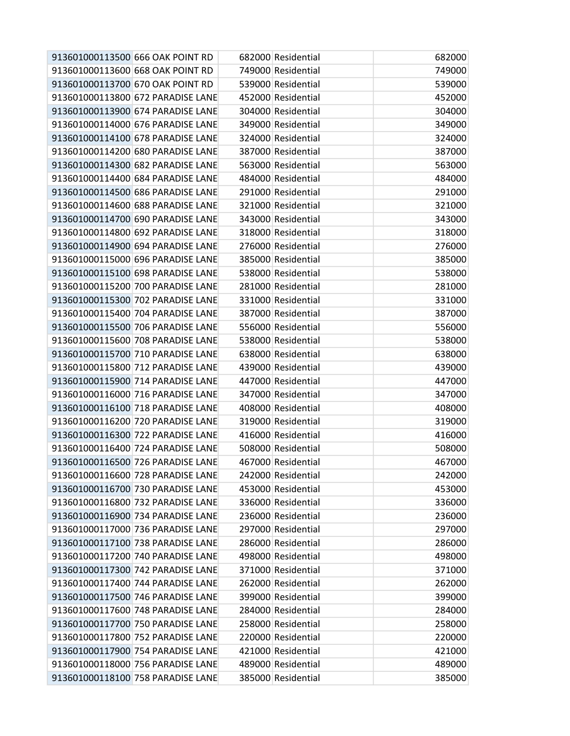| 913601000113500 666 OAK POINT RD  | 682000 Residential | 682000 |
|-----------------------------------|--------------------|--------|
| 913601000113600 668 OAK POINT RD  | 749000 Residential | 749000 |
| 913601000113700 670 OAK POINT RD  | 539000 Residential | 539000 |
| 913601000113800 672 PARADISE LANE | 452000 Residential | 452000 |
| 913601000113900 674 PARADISE LANE | 304000 Residential | 304000 |
| 913601000114000 676 PARADISE LANE | 349000 Residential | 349000 |
| 913601000114100 678 PARADISE LANE | 324000 Residential | 324000 |
| 913601000114200 680 PARADISE LANE | 387000 Residential | 387000 |
| 913601000114300 682 PARADISE LANE | 563000 Residential | 563000 |
| 913601000114400 684 PARADISE LANE | 484000 Residential | 484000 |
| 913601000114500 686 PARADISE LANE | 291000 Residential | 291000 |
| 913601000114600 688 PARADISE LANE | 321000 Residential | 321000 |
| 913601000114700 690 PARADISE LANE | 343000 Residential | 343000 |
| 913601000114800 692 PARADISE LANE | 318000 Residential | 318000 |
| 913601000114900 694 PARADISE LANE | 276000 Residential | 276000 |
| 913601000115000 696 PARADISE LANE | 385000 Residential | 385000 |
| 913601000115100 698 PARADISE LANE | 538000 Residential | 538000 |
| 913601000115200 700 PARADISE LANE | 281000 Residential | 281000 |
| 913601000115300 702 PARADISE LANE | 331000 Residential | 331000 |
| 913601000115400 704 PARADISE LANE | 387000 Residential | 387000 |
| 913601000115500 706 PARADISE LANE | 556000 Residential | 556000 |
| 913601000115600 708 PARADISE LANE | 538000 Residential | 538000 |
| 913601000115700 710 PARADISE LANE | 638000 Residential | 638000 |
| 913601000115800 712 PARADISE LANE | 439000 Residential | 439000 |
| 913601000115900 714 PARADISE LANE | 447000 Residential | 447000 |
| 913601000116000 716 PARADISE LANE | 347000 Residential | 347000 |
| 913601000116100 718 PARADISE LANE | 408000 Residential | 408000 |
| 913601000116200 720 PARADISE LANE | 319000 Residential | 319000 |
| 913601000116300 722 PARADISE LANE | 416000 Residential | 416000 |
| 913601000116400 724 PARADISE LANE | 508000 Residential | 508000 |
| 913601000116500 726 PARADISE LANE | 467000 Residential | 467000 |
| 913601000116600 728 PARADISE LANE | 242000 Residential | 242000 |
| 913601000116700 730 PARADISE LANE | 453000 Residential | 453000 |
| 913601000116800 732 PARADISE LANE | 336000 Residential | 336000 |
| 913601000116900 734 PARADISE LANE | 236000 Residential | 236000 |
| 913601000117000 736 PARADISE LANE | 297000 Residential | 297000 |
| 913601000117100 738 PARADISE LANE | 286000 Residential | 286000 |
| 913601000117200 740 PARADISE LANE | 498000 Residential | 498000 |
| 913601000117300 742 PARADISE LANE | 371000 Residential | 371000 |
| 913601000117400 744 PARADISE LANE | 262000 Residential | 262000 |
| 913601000117500 746 PARADISE LANE | 399000 Residential | 399000 |
| 913601000117600 748 PARADISE LANE | 284000 Residential | 284000 |
| 913601000117700 750 PARADISE LANE | 258000 Residential | 258000 |
| 913601000117800 752 PARADISE LANE | 220000 Residential | 220000 |
| 913601000117900 754 PARADISE LANE | 421000 Residential | 421000 |
| 913601000118000 756 PARADISE LANE | 489000 Residential | 489000 |
| 913601000118100 758 PARADISE LANE | 385000 Residential | 385000 |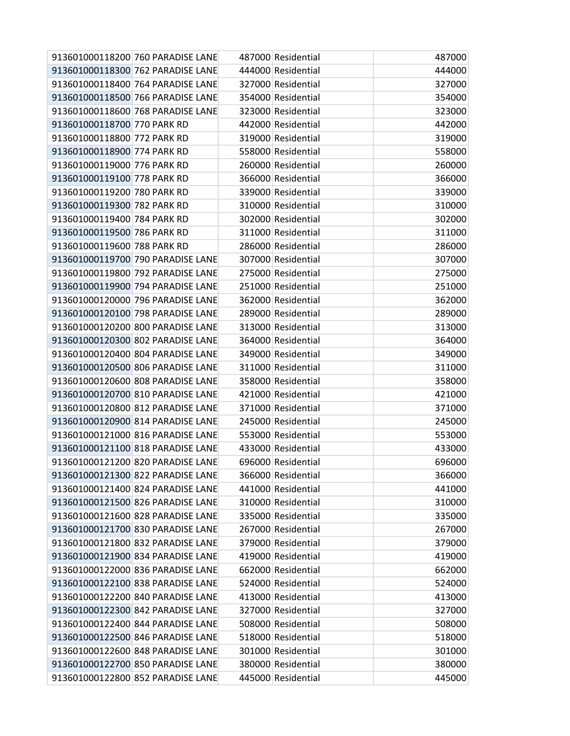|                             | 913601000118200 760 PARADISE LANE | 487000 Residential | 487000 |
|-----------------------------|-----------------------------------|--------------------|--------|
|                             | 913601000118300 762 PARADISE LANE | 444000 Residential | 444000 |
|                             | 913601000118400 764 PARADISE LANE | 327000 Residential | 327000 |
|                             | 913601000118500 766 PARADISE LANE | 354000 Residential | 354000 |
|                             | 913601000118600 768 PARADISE LANE | 323000 Residential | 323000 |
| 913601000118700 770 PARK RD |                                   | 442000 Residential | 442000 |
| 913601000118800 772 PARK RD |                                   | 319000 Residential | 319000 |
| 913601000118900 774 PARK RD |                                   | 558000 Residential | 558000 |
| 913601000119000 776 PARK RD |                                   | 260000 Residential | 260000 |
| 913601000119100 778 PARK RD |                                   | 366000 Residential | 366000 |
| 913601000119200 780 PARK RD |                                   | 339000 Residential | 339000 |
| 913601000119300 782 PARK RD |                                   | 310000 Residential | 310000 |
| 913601000119400 784 PARK RD |                                   | 302000 Residential | 302000 |
| 913601000119500 786 PARK RD |                                   | 311000 Residential | 311000 |
| 913601000119600 788 PARK RD |                                   | 286000 Residential | 286000 |
|                             | 913601000119700 790 PARADISE LANE | 307000 Residential | 307000 |
|                             | 913601000119800 792 PARADISE LANE | 275000 Residential | 275000 |
|                             | 913601000119900 794 PARADISE LANE | 251000 Residential | 251000 |
|                             | 913601000120000 796 PARADISE LANE | 362000 Residential | 362000 |
|                             | 913601000120100 798 PARADISE LANE | 289000 Residential | 289000 |
|                             | 913601000120200 800 PARADISE LANE | 313000 Residential | 313000 |
|                             | 913601000120300 802 PARADISE LANE | 364000 Residential | 364000 |
|                             | 913601000120400 804 PARADISE LANE | 349000 Residential | 349000 |
|                             | 913601000120500 806 PARADISE LANE | 311000 Residential | 311000 |
|                             | 913601000120600 808 PARADISE LANE | 358000 Residential | 358000 |
|                             | 913601000120700 810 PARADISE LANE | 421000 Residential | 421000 |
|                             | 913601000120800 812 PARADISE LANE | 371000 Residential | 371000 |
|                             | 913601000120900 814 PARADISE LANE | 245000 Residential | 245000 |
|                             | 913601000121000 816 PARADISE LANE | 553000 Residential | 553000 |
|                             | 913601000121100 818 PARADISE LANE | 433000 Residential | 433000 |
|                             | 913601000121200 820 PARADISE LANE | 696000 Residential | 696000 |
|                             | 913601000121300 822 PARADISE LANE | 366000 Residential | 366000 |
|                             | 913601000121400 824 PARADISE LANE | 441000 Residential | 441000 |
|                             | 913601000121500 826 PARADISE LANE | 310000 Residential | 310000 |
|                             | 913601000121600 828 PARADISE LANE | 335000 Residential | 335000 |
|                             | 913601000121700 830 PARADISE LANE | 267000 Residential | 267000 |
|                             | 913601000121800 832 PARADISE LANE | 379000 Residential | 379000 |
|                             | 913601000121900 834 PARADISE LANE | 419000 Residential | 419000 |
|                             | 913601000122000 836 PARADISE LANE | 662000 Residential | 662000 |
|                             | 913601000122100 838 PARADISE LANE | 524000 Residential | 524000 |
|                             | 913601000122200 840 PARADISE LANE | 413000 Residential | 413000 |
|                             | 913601000122300 842 PARADISE LANE | 327000 Residential | 327000 |
|                             | 913601000122400 844 PARADISE LANE | 508000 Residential | 508000 |
|                             | 913601000122500 846 PARADISE LANE | 518000 Residential | 518000 |
|                             | 913601000122600 848 PARADISE LANE | 301000 Residential | 301000 |
|                             | 913601000122700 850 PARADISE LANE | 380000 Residential | 380000 |
|                             | 913601000122800 852 PARADISE LANE | 445000 Residential | 445000 |